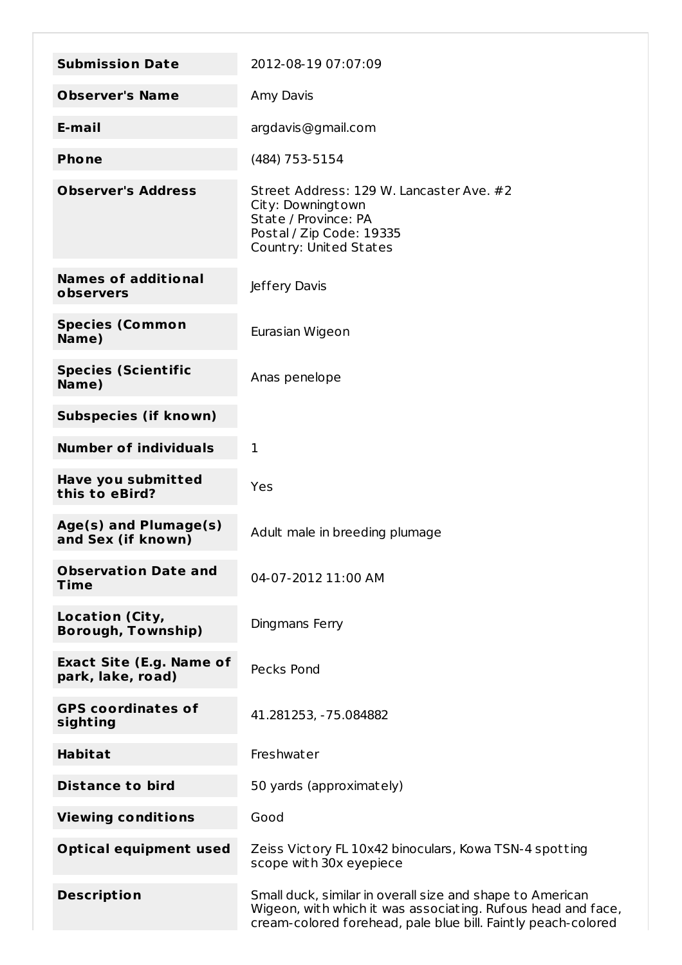| <b>Submission Date</b>                               | 2012-08-19 07:07:09                                                                                                                                                                        |
|------------------------------------------------------|--------------------------------------------------------------------------------------------------------------------------------------------------------------------------------------------|
| <b>Observer's Name</b>                               | Amy Davis                                                                                                                                                                                  |
| E-mail                                               | argdavis@gmail.com                                                                                                                                                                         |
| <b>Phone</b>                                         | (484) 753-5154                                                                                                                                                                             |
| <b>Observer's Address</b>                            | Street Address: 129 W. Lancaster Ave. #2<br>City: Downingtown<br>State / Province: PA<br>Postal / Zip Code: 19335<br>Country: United States                                                |
| <b>Names of additional</b><br>observers              | Jeffery Davis                                                                                                                                                                              |
| <b>Species (Common</b><br>Name)                      | Eurasian Wigeon                                                                                                                                                                            |
| <b>Species (Scientific</b><br>Name)                  | Anas penelope                                                                                                                                                                              |
| <b>Subspecies (if known)</b>                         |                                                                                                                                                                                            |
| <b>Number of individuals</b>                         | $\mathbf 1$                                                                                                                                                                                |
| Have you submitted<br>this to eBird?                 | Yes                                                                                                                                                                                        |
| Age(s) and Plumage(s)<br>and Sex (if known)          | Adult male in breeding plumage                                                                                                                                                             |
| <b>Observation Date and</b><br>Time                  | 04-07-2012 11:00 AM                                                                                                                                                                        |
| <b>Location (City,</b><br><b>Borough, Township)</b>  | Dingmans Ferry                                                                                                                                                                             |
| <b>Exact Site (E.g. Name of</b><br>park, lake, road) | Pecks Pond                                                                                                                                                                                 |
| <b>GPS coordinates of</b><br>sighting                | 41.281253, -75.084882                                                                                                                                                                      |
| <b>Habitat</b>                                       | Freshwater                                                                                                                                                                                 |
| <b>Distance to bird</b>                              | 50 yards (approximately)                                                                                                                                                                   |
| <b>Viewing conditions</b>                            | Good                                                                                                                                                                                       |
| <b>Optical equipment used</b>                        | Zeiss Victory FL 10x42 binoculars, Kowa TSN-4 spotting<br>scope with 30x eyepiece                                                                                                          |
| <b>Description</b>                                   | Small duck, similar in overall size and shape to American<br>Wigeon, with which it was associating. Rufous head and face,<br>cream-colored forehead, pale blue bill. Faintly peach-colored |